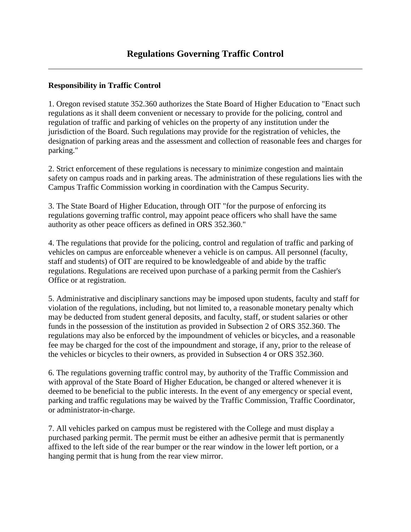## **Responsibility in Traffic Control**

1. Oregon revised statute 352.360 authorizes the State Board of Higher Education to "Enact such regulations as it shall deem convenient or necessary to provide for the policing, control and regulation of traffic and parking of vehicles on the property of any institution under the jurisdiction of the Board. Such regulations may provide for the registration of vehicles, the designation of parking areas and the assessment and collection of reasonable fees and charges for parking."

2. Strict enforcement of these regulations is necessary to minimize congestion and maintain safety on campus roads and in parking areas. The administration of these regulations lies with the Campus Traffic Commission working in coordination with the Campus Security.

3. The State Board of Higher Education, through OIT "for the purpose of enforcing its regulations governing traffic control, may appoint peace officers who shall have the same authority as other peace officers as defined in ORS 352.360."

4. The regulations that provide for the policing, control and regulation of traffic and parking of vehicles on campus are enforceable whenever a vehicle is on campus. All personnel (faculty, staff and students) of OIT are required to be knowledgeable of and abide by the traffic regulations. Regulations are received upon purchase of a parking permit from the Cashier's Office or at registration.

5. Administrative and disciplinary sanctions may be imposed upon students, faculty and staff for violation of the regulations, including, but not limited to, a reasonable monetary penalty which may be deducted from student general deposits, and faculty, staff, or student salaries or other funds in the possession of the institution as provided in Subsection 2 of ORS 352.360. The regulations may also be enforced by the impoundment of vehicles or bicycles, and a reasonable fee may be charged for the cost of the impoundment and storage, if any, prior to the release of the vehicles or bicycles to their owners, as provided in Subsection 4 or ORS 352.360.

6. The regulations governing traffic control may, by authority of the Traffic Commission and with approval of the State Board of Higher Education, be changed or altered whenever it is deemed to be beneficial to the public interests. In the event of any emergency or special event, parking and traffic regulations may be waived by the Traffic Commission, Traffic Coordinator, or administrator-in-charge.

7. All vehicles parked on campus must be registered with the College and must display a purchased parking permit. The permit must be either an adhesive permit that is permanently affixed to the left side of the rear bumper or the rear window in the lower left portion, or a hanging permit that is hung from the rear view mirror.